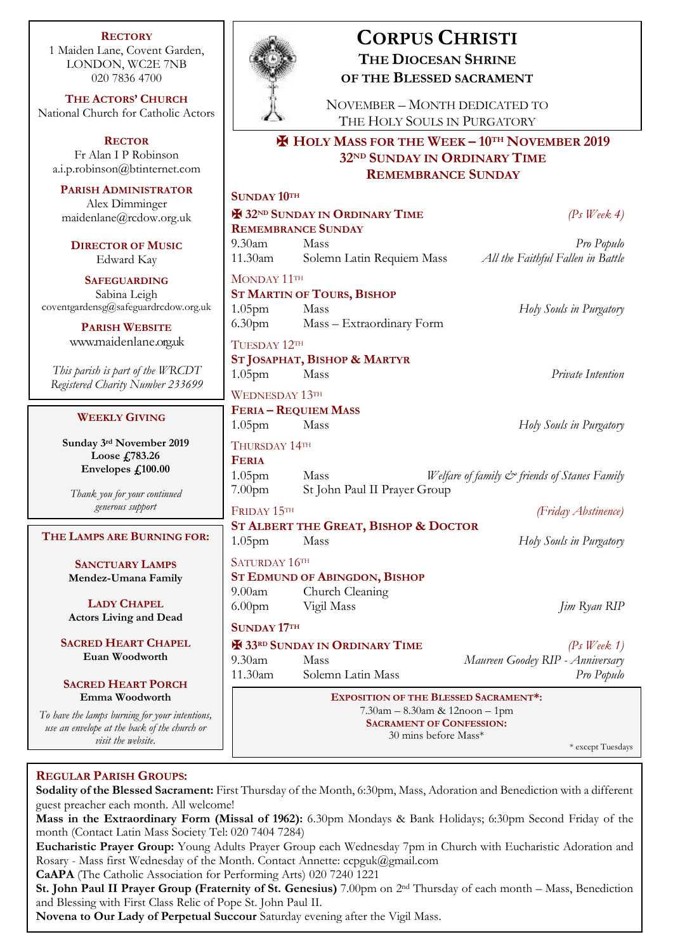**RECTORY** 1 Maiden Lane, Covent Garden, LONDON, WC2E 7NB 020 7836 4700

**THE ACTORS' CHURCH** National Church for Catholic Actors

**RECTOR** Fr Alan I P Robinson [a.i.p.robinson@btinternet.com](mailto:a.i.p.robinson@btinternet.com)

**PARISH ADMINISTRATOR** Alex Dimminger  $maidenlane@rcdow.org.$ 

**DIRECTOR OF MUSIC** Edward Kay

**SAFEGUARDING** Sabina Leigh  $cover the ardensg@safeguardredow$ 

> **PARISH WEBSITE** [www.maidenlane.org.uk](http://www.maidenlane.org.uk/)

*This parish is part of the WRC Registered Charity Number 23* 

#### **WEEKLY GIVING**

**Sunday 3 rd November 2019 Loose £783.26 Envelopes £100.00**

*Thank you for your continued generous support*

## $$

**SANCTUARY LAMPS Mendez-Umana Family**

**LADY CHAPEL Actors Living and Dead**

**SACRED HEART CHAPE Euan Woodworth**

 $S$ **ACRED HEART PORCH Emma Woodworth**

*To have the lamps burning for your in use an envelope at the back of the ch*. *visit the website.*

# **CORPUS CHRISTI THE DIOCESAN SHRINE OF THE BLESSED SACRAMENT**

NOVEMBER – MONTH DEDICATED TO THE HOLY SOULS IN PURGATORY

# ✠ **HOLY MASS FOR THE WEEK – 10TH NOVEMBER 2019 32ND SUNDAY IN ORDINARY TIME REMEMBRANCE SUNDAY**

| UN                    |                                                                                                                   | <b>SUNDAY 10TH</b>                                     |                                                                     |  |
|-----------------------|-------------------------------------------------------------------------------------------------------------------|--------------------------------------------------------|---------------------------------------------------------------------|--|
| uk                    |                                                                                                                   | <b>H</b> 32ND SUNDAY IN ORDINARY TIME<br>$(Ps$ Week 4) |                                                                     |  |
|                       |                                                                                                                   | <b>REMEMBRANCE SUNDAY</b>                              |                                                                     |  |
| J                     | $9.30$ am<br>11.30am                                                                                              | Mass<br>Solemn Latin Requiem Mass                      | Pro Populo<br>All the Faithful Fallen in Battle                     |  |
|                       |                                                                                                                   |                                                        |                                                                     |  |
|                       | MONDAY 11TH<br><b>ST MARTIN OF TOURS, BISHOP</b>                                                                  |                                                        |                                                                     |  |
| v.org.uk              | 1.05 <sub>pm</sub>                                                                                                | Mass                                                   | Holy Souls in Purgatory                                             |  |
|                       | 6.30 <sub>pm</sub>                                                                                                | Mass - Extraordinary Form                              |                                                                     |  |
| k                     | TUESDAY 12TH                                                                                                      |                                                        |                                                                     |  |
|                       | ST JOSAPHAT, BISHOP & MARTYR                                                                                      |                                                        |                                                                     |  |
| CDT                   | $1.05$ pm                                                                                                         | Mass                                                   | Private Intention                                                   |  |
| 3699                  | <b>WEDNESDAY 13TH</b>                                                                                             |                                                        |                                                                     |  |
|                       |                                                                                                                   | <b>FERIA - REQUIEM MASS</b>                            |                                                                     |  |
|                       | 1.05 <sub>pm</sub>                                                                                                | Mass                                                   | Holy Souls in Purgatory                                             |  |
| 19                    | THURSDAY 14TH                                                                                                     |                                                        |                                                                     |  |
|                       | <b>FERIA</b>                                                                                                      |                                                        |                                                                     |  |
|                       | 1.05 <sub>pm</sub>                                                                                                | Mass                                                   | Welfare of family & friends of Stanes Family                        |  |
| ł                     | 7.00 <sub>pm</sub>                                                                                                | St John Paul II Prayer Group                           |                                                                     |  |
|                       | FRIDAY 15TH                                                                                                       |                                                        | (Friday Abstinence)                                                 |  |
| FOR:                  | ST ALBERT THE GREAT, BISHOP & DOCTOR                                                                              |                                                        |                                                                     |  |
|                       | 1.05 <sub>pm</sub>                                                                                                | Mass                                                   | Holy Souls in Purgatory                                             |  |
|                       | SATURDAY 16TH                                                                                                     |                                                        |                                                                     |  |
| Ÿ                     | 9.00am                                                                                                            | <b>ST EDMUND OF ABINGDON, BISHOP</b>                   |                                                                     |  |
|                       | 6.00 <sub>pm</sub>                                                                                                | Church Cleaning<br>Vigil Mass                          | <i>Jim Ryan RIP</i>                                                 |  |
| ı                     |                                                                                                                   |                                                        |                                                                     |  |
|                       | <b>SUNDAY 17TH</b>                                                                                                |                                                        |                                                                     |  |
| EL.                   | $9.30$ am                                                                                                         | <b>H</b> 33RD SUNDAY IN ORDINARY TIME<br><b>Mass</b>   | $(Ps \text{ } Week \text{ } 1)$<br>Maureen Goodey RIP - Anniversary |  |
|                       | 11.30am                                                                                                           | Solemn Latin Mass                                      | Pro Populo                                                          |  |
| H                     |                                                                                                                   |                                                        |                                                                     |  |
|                       | <b>EXPOSITION OF THE BLESSED SACRAMENT*:</b><br>7.30am - 8.30am & 12noon - 1pm<br><b>SACRAMENT OF CONFESSION:</b> |                                                        |                                                                     |  |
| itentions,<br>urch or |                                                                                                                   |                                                        |                                                                     |  |
|                       |                                                                                                                   |                                                        | 30 mins before Mass*<br>* except Tuesdays                           |  |
|                       |                                                                                                                   |                                                        |                                                                     |  |

# **REGULAR PARISH GROUPS:**

**Sodality of the Blessed Sacrament:** First Thursday of the Month, 6:30pm, Mass, Adoration and Benediction with a different guest preacher each month. All welcome!

**Mass in the Extraordinary Form (Missal of 1962):** 6.30pm Mondays & Bank Holidays; 6:30pm Second Friday of the month (Contact Latin Mass Society Tel: 020 7404 7284)

**Eucharistic Prayer Group:** Young Adults Prayer Group each Wednesday 7pm in Church with Eucharistic Adoration and Rosary - Mass first Wednesday of the Month. Contact Annette: ccpguk@gmail.com

**CaAPA** (The Catholic Association for Performing Arts) 020 7240 1221

**St. John Paul II Prayer Group (Fraternity of St. Genesius)** 7.00pm on 2nd Thursday of each month – Mass, Benediction and Blessing with First Class Relic of Pope St. John Paul II.

**Novena to Our Lady of Perpetual Succour** Saturday evening after the Vigil Mass.